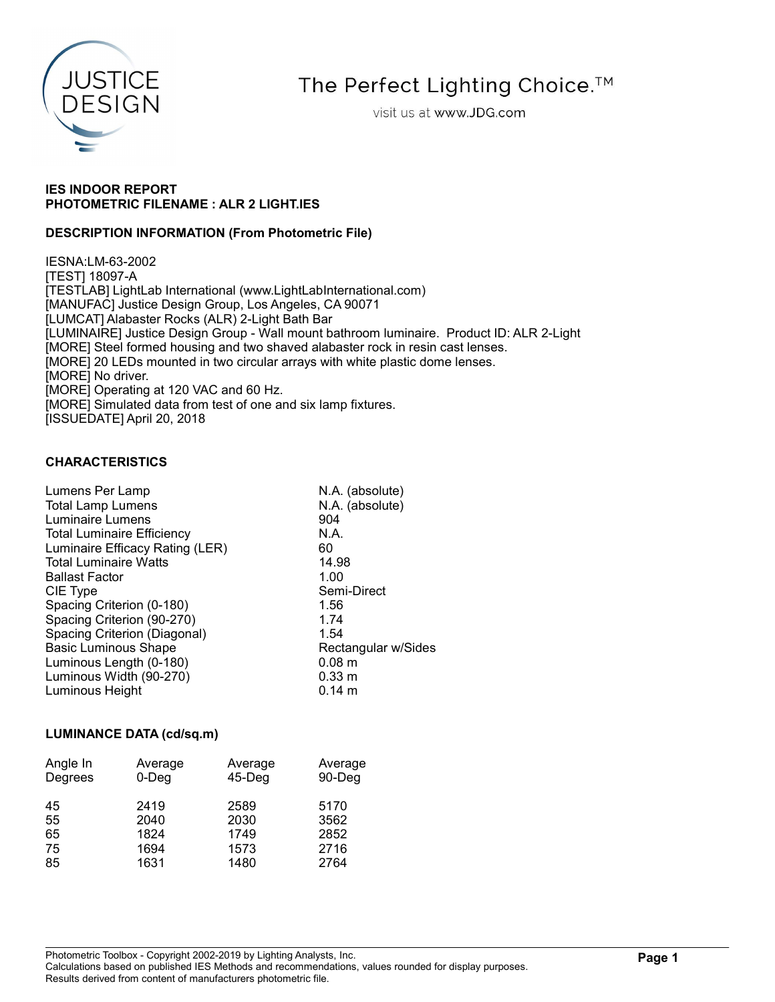

The Perfect Lighting Choice.<sup>™</sup>

visit us at www.JDG.com

## IES INDOOR REPORT PHOTOMETRIC FILENAME : ALR 2 LIGHT.IES

## DESCRIPTION INFORMATION (From Photometric File)

IESNA:LM-63-2002 [TEST] 18097-A [TESTLAB] LightLab International (www.LightLabInternational.com) [MANUFAC] Justice Design Group, Los Angeles, CA 90071 [LUMCAT] Alabaster Rocks (ALR) 2-Light Bath Bar [LUMINAIRE] Justice Design Group - Wall mount bathroom luminaire. Product ID: ALR 2-Light [MORE] Steel formed housing and two shaved alabaster rock in resin cast lenses. [MORE] 20 LEDs mounted in two circular arrays with white plastic dome lenses. [MORE] No driver. [MORE] Operating at 120 VAC and 60 Hz. [MORE] Simulated data from test of one and six lamp fixtures. [ISSUEDATE] April 20, 2018

### CHARACTERISTICS

| Lumens Per Lamp                   | N.A. (absolute)     |
|-----------------------------------|---------------------|
| <b>Total Lamp Lumens</b>          | N.A. (absolute)     |
| <b>Luminaire Lumens</b>           | 904                 |
| <b>Total Luminaire Efficiency</b> | N.A.                |
| Luminaire Efficacy Rating (LER)   | 60                  |
| <b>Total Luminaire Watts</b>      | 14.98               |
| <b>Ballast Factor</b>             | 1.00                |
| CIE Type                          | Semi-Direct         |
| Spacing Criterion (0-180)         | 1.56                |
| Spacing Criterion (90-270)        | 1.74                |
| Spacing Criterion (Diagonal)      | 1.54                |
| <b>Basic Luminous Shape</b>       | Rectangular w/Sides |
| Luminous Length (0-180)           | 0.08 <sub>m</sub>   |
| Luminous Width (90-270)           | 0.33 m              |
| Luminous Height                   | $0.14 \; m$         |
|                                   |                     |

#### LUMINANCE DATA (cd/sq.m)

| Angle In | Average  | Average   | Average |
|----------|----------|-----------|---------|
| Degrees  | $0$ -Deg | $45$ -Deg | 90-Deg  |
| 45       | 2419     | 2589      | 5170    |
| 55       | 2040     | 2030      | 3562    |
| 65       | 1824     | 1749      | 2852    |
| 75       | 1694     | 1573      | 2716    |
| 85       | 1631     | 1480      | 2764    |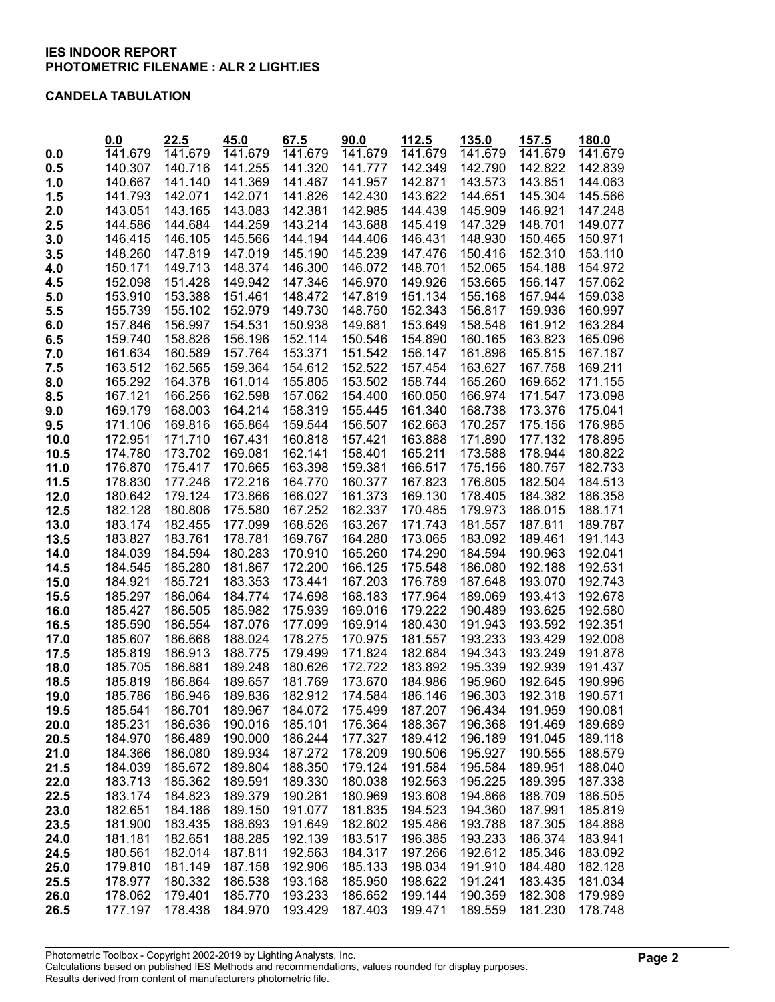#### CANDELA TABULATION

|              | 0.0                | 22.5               | 45.0               | 67.5               | 90.0               | 112.5              | 135.0              | 157.5              | 180.0              |
|--------------|--------------------|--------------------|--------------------|--------------------|--------------------|--------------------|--------------------|--------------------|--------------------|
| 0.0          | 141.679            | 141.679            | 141.679            | 141.679            | 141.679            | 141.679            | 141.679            | 141.679            | 141.679            |
| 0.5          | 140.307            | 140.716            | 141.255            | 141.320            | 141.777            | 142.349            | 142.790            | 142.822            | 142.839            |
| 1.0          | 140.667            | 141.140            | 141.369            | 141.467            | 141.957            | 142.871            | 143.573            | 143.851            | 144.063            |
| 1.5          | 141.793            | 142.071            | 142.071            | 141.826            | 142.430<br>142.985 | 143.622            | 144.651            | 145.304            | 145.566            |
| 2.0          | 143.051            | 143.165            | 143.083            | 142.381            |                    | 144.439            | 145.909            | 146.921            | 147.248            |
| 2.5          | 144.586            | 144.684            | 144.259            | 143.214            | 143.688            | 145.419            | 147.329            | 148.701            | 149.077            |
| 3.0          | 146.415<br>148.260 | 146.105<br>147.819 | 145.566<br>147.019 | 144.194<br>145.190 | 144.406<br>145.239 | 146.431<br>147.476 | 148.930            | 150.465<br>152.310 | 150.971<br>153.110 |
| 3.5          | 150.171            | 149.713            | 148.374            | 146.300            | 146.072            | 148.701            | 150.416<br>152.065 | 154.188            | 154.972            |
| 4.0<br>4.5   | 152.098            | 151.428            | 149.942            | 147.346            | 146.970            | 149.926            | 153.665            | 156.147            | 157.062            |
| 5.0          | 153.910            | 153.388            | 151.461            | 148.472            | 147.819            | 151.134            | 155.168            | 157.944            | 159.038            |
| 5.5          | 155.739            | 155.102            | 152.979            | 149.730            | 148.750            | 152.343            | 156.817            | 159.936            | 160.997            |
| 6.0          | 157.846            | 156.997            | 154.531            | 150.938            | 149.681            | 153.649            | 158.548            | 161.912            | 163.284            |
| 6.5          | 159.740            | 158.826            | 156.196            | 152.114            | 150.546            | 154.890            | 160.165            | 163.823            | 165.096            |
| 7.0          | 161.634            | 160.589            | 157.764            | 153.371            | 151.542            | 156.147            | 161.896            | 165.815            | 167.187            |
| 7.5          | 163.512            | 162.565            | 159.364            | 154.612            | 152.522            | 157.454            | 163.627            | 167.758            | 169.211            |
| 8.0          | 165.292            | 164.378            | 161.014            | 155.805            | 153.502            | 158.744            | 165.260            | 169.652            | 171.155            |
| 8.5          | 167.121            | 166.256            | 162.598            | 157.062            | 154.400            | 160.050            | 166.974            | 171.547            | 173.098            |
| 9.0          | 169.179            | 168.003            | 164.214            | 158.319            | 155.445            | 161.340            | 168.738            | 173.376            | 175.041            |
| 9.5          | 171.106            | 169.816            | 165.864            | 159.544            | 156.507            | 162.663            | 170.257            | 175.156            | 176.985            |
| 10.0         | 172.951            | 171.710            | 167.431            | 160.818            | 157.421            | 163.888            | 171.890            | 177.132            | 178.895            |
| 10.5         | 174.780            | 173.702            | 169.081            | 162.141            | 158.401            | 165.211            | 173.588            | 178.944            | 180.822            |
| 11.0         | 176.870            | 175.417            | 170.665            | 163.398            | 159.381            | 166.517            | 175.156            | 180.757            | 182.733            |
| 11.5         | 178.830            | 177.246            | 172.216            | 164.770            | 160.377            | 167.823            | 176.805            | 182.504            | 184.513            |
| 12.0         | 180.642            | 179.124            | 173.866            | 166.027            | 161.373            | 169.130            | 178.405            | 184.382            | 186.358            |
| 12.5         | 182.128            | 180.806            | 175.580            | 167.252            | 162.337            | 170.485            | 179.973            | 186.015            | 188.171            |
| 13.0         | 183.174            | 182.455            | 177.099            | 168.526            | 163.267            | 171.743            | 181.557            | 187.811            | 189.787            |
| 13.5         | 183.827            | 183.761            | 178.781            | 169.767            | 164.280            | 173.065            | 183.092            | 189.461            | 191.143            |
| 14.0         | 184.039            | 184.594            | 180.283            | 170.910            | 165.260            | 174.290            | 184.594            | 190.963            | 192.041            |
| 14.5         | 184.545            | 185.280            | 181.867            | 172.200            | 166.125            | 175.548            | 186.080            | 192.188            | 192.531            |
| 15.0         | 184.921            | 185.721            | 183.353            | 173.441            | 167.203            | 176.789            | 187.648            | 193.070            | 192.743            |
| 15.5         | 185.297            | 186.064            | 184.774            | 174.698            | 168.183            | 177.964            | 189.069            | 193.413            | 192.678            |
| 16.0         | 185.427            | 186.505            | 185.982            | 175.939            | 169.016            | 179.222            | 190.489            | 193.625            | 192.580            |
| 16.5         | 185.590            | 186.554            | 187.076            | 177.099            | 169.914            | 180.430            | 191.943            | 193.592            | 192.351            |
| 17.0         | 185.607<br>185.819 | 186.668<br>186.913 | 188.024<br>188.775 | 178.275<br>179.499 | 170.975<br>171.824 | 181.557<br>182.684 | 193.233<br>194.343 | 193.429<br>193.249 | 192.008<br>191.878 |
| 17.5<br>18.0 | 185.705            | 186.881            | 189.248            | 180.626            | 172.722            | 183.892            | 195.339            | 192.939            | 191.437            |
| 18.5         | 185.819            | 186.864            | 189.657            | 181.769            | 173.670            | 184.986            | 195.960            | 192.645            | 190.996            |
| 19.0         | 185.786            | 186.946            | 189.836            | 182.912            | 174.584            | 186.146            | 196.303            | 192.318            | 190.571            |
| 19.5         | 185.541            | 186.701            | 189.967            | 184.072            | 175.499            | 187.207            | 196.434            | 191.959            | 190.081            |
| 20.0         | 185.231            | 186.636            | 190.016            | 185.101            | 176.364            | 188.367            | 196.368            | 191.469            | 189.689            |
| 20.5         | 184.970            | 186.489            | 190.000            | 186.244            | 177.327            | 189.412            | 196.189            | 191.045            | 189.118            |
| 21.0         | 184.366            | 186.080            | 189.934            | 187.272            | 178.209            | 190.506            | 195.927            | 190.555            | 188.579            |
| 21.5         | 184.039            | 185.672            | 189.804            | 188.350            | 179.124            | 191.584            | 195.584            | 189.951            | 188.040            |
| 22.0         | 183.713            | 185.362            | 189.591            | 189.330            | 180.038            | 192.563            | 195.225            | 189.395            | 187.338            |
| 22.5         | 183.174            | 184.823            | 189.379            | 190.261            | 180.969            | 193.608            | 194.866            | 188.709            | 186.505            |
| 23.0         | 182.651            | 184.186            | 189.150            | 191.077            | 181.835            | 194.523            | 194.360            | 187.991            | 185.819            |
| 23.5         | 181.900            | 183.435            | 188.693            | 191.649            | 182.602            | 195.486            | 193.788            | 187.305            | 184.888            |
| 24.0         | 181.181            | 182.651            | 188.285            | 192.139            | 183.517            | 196.385            | 193.233            | 186.374            | 183.941            |
| 24.5         | 180.561            | 182.014            | 187.811            | 192.563            | 184.317            | 197.266            | 192.612            | 185.346            | 183.092            |
| 25.0         | 179.810            | 181.149            | 187.158            | 192.906            | 185.133            | 198.034            | 191.910            | 184.480            | 182.128            |
| 25.5         | 178.977            | 180.332            | 186.538            | 193.168            | 185.950            | 198.622            | 191.241            | 183.435            | 181.034            |
| 26.0         | 178.062            | 179.401            | 185.770            | 193.233            | 186.652            | 199.144            | 190.359            | 182.308            | 179.989            |
| 26.5         | 177.197            | 178.438            | 184.970            | 193.429            | 187.403            | 199.471            | 189.559            | 181.230            | 178.748            |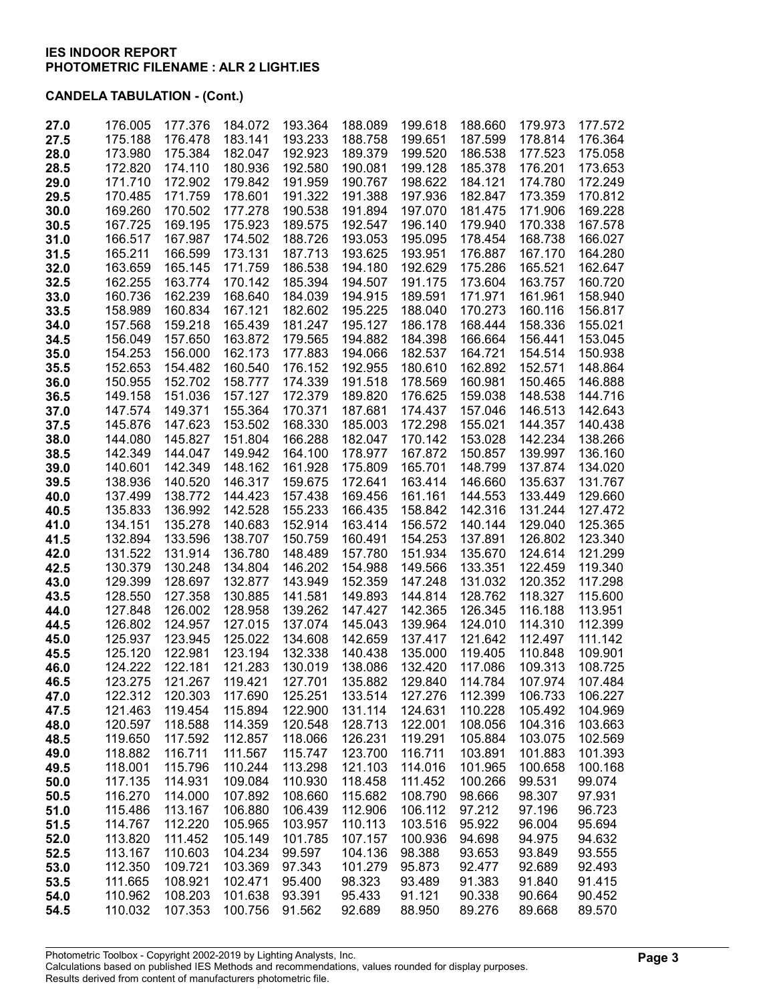| 27.0 | 176.005 | 177.376 | 184.072 | 193.364 | 188.089 | 199.618 | 188.660 | 179.973 | 177.572 |
|------|---------|---------|---------|---------|---------|---------|---------|---------|---------|
| 27.5 | 175.188 | 176.478 | 183.141 | 193.233 | 188.758 | 199.651 | 187.599 | 178.814 | 176.364 |
| 28.0 | 173.980 | 175.384 | 182.047 | 192.923 | 189.379 | 199.520 | 186.538 | 177.523 | 175.058 |
| 28.5 | 172.820 | 174.110 | 180.936 | 192.580 | 190.081 | 199.128 | 185.378 | 176.201 | 173.653 |
| 29.0 | 171.710 | 172.902 | 179.842 | 191.959 | 190.767 | 198.622 | 184.121 | 174.780 | 172.249 |
| 29.5 | 170.485 | 171.759 | 178.601 | 191.322 | 191.388 | 197.936 | 182.847 | 173.359 | 170.812 |
| 30.0 | 169.260 | 170.502 | 177.278 | 190.538 | 191.894 | 197.070 | 181.475 | 171.906 | 169.228 |
| 30.5 | 167.725 | 169.195 | 175.923 | 189.575 | 192.547 | 196.140 | 179.940 | 170.338 | 167.578 |
| 31.0 | 166.517 | 167.987 | 174.502 | 188.726 | 193.053 | 195.095 | 178.454 | 168.738 | 166.027 |
| 31.5 | 165.211 | 166.599 | 173.131 | 187.713 | 193.625 | 193.951 | 176.887 | 167.170 | 164.280 |
| 32.0 | 163.659 | 165.145 | 171.759 | 186.538 | 194.180 | 192.629 | 175.286 | 165.521 | 162.647 |
| 32.5 | 162.255 | 163.774 | 170.142 | 185.394 | 194.507 | 191.175 | 173.604 | 163.757 | 160.720 |
| 33.0 | 160.736 | 162.239 | 168.640 | 184.039 | 194.915 | 189.591 | 171.971 | 161.961 | 158.940 |
| 33.5 | 158.989 | 160.834 | 167.121 | 182.602 | 195.225 | 188.040 | 170.273 | 160.116 | 156.817 |
| 34.0 | 157.568 | 159.218 | 165.439 | 181.247 | 195.127 | 186.178 | 168.444 | 158.336 | 155.021 |
| 34.5 | 156.049 | 157.650 | 163.872 | 179.565 | 194.882 | 184.398 | 166.664 | 156.441 | 153.045 |
| 35.0 | 154.253 | 156.000 | 162.173 | 177.883 | 194.066 | 182.537 | 164.721 | 154.514 | 150.938 |
| 35.5 | 152.653 | 154.482 | 160.540 | 176.152 | 192.955 | 180.610 | 162.892 | 152.571 | 148.864 |
| 36.0 | 150.955 | 152.702 | 158.777 | 174.339 | 191.518 | 178.569 | 160.981 | 150.465 | 146.888 |
| 36.5 | 149.158 | 151.036 | 157.127 | 172.379 | 189.820 | 176.625 | 159.038 | 148.538 | 144.716 |
| 37.0 | 147.574 | 149.371 | 155.364 | 170.371 | 187.681 | 174.437 | 157.046 | 146.513 | 142.643 |
| 37.5 | 145.876 | 147.623 | 153.502 | 168.330 | 185.003 | 172.298 | 155.021 | 144.357 | 140.438 |
| 38.0 | 144.080 | 145.827 | 151.804 | 166.288 | 182.047 | 170.142 | 153.028 | 142.234 | 138.266 |
| 38.5 | 142.349 | 144.047 | 149.942 | 164.100 | 178.977 | 167.872 | 150.857 | 139.997 | 136.160 |
| 39.0 | 140.601 | 142.349 | 148.162 | 161.928 | 175.809 | 165.701 | 148.799 | 137.874 | 134.020 |
| 39.5 | 138.936 | 140.520 | 146.317 | 159.675 | 172.641 | 163.414 | 146.660 | 135.637 | 131.767 |
| 40.0 | 137.499 | 138.772 | 144.423 | 157.438 | 169.456 | 161.161 | 144.553 | 133.449 | 129.660 |
| 40.5 | 135.833 | 136.992 | 142.528 | 155.233 | 166.435 | 158.842 | 142.316 | 131.244 | 127.472 |
| 41.0 | 134.151 | 135.278 | 140.683 | 152.914 | 163.414 | 156.572 | 140.144 | 129.040 | 125.365 |
| 41.5 | 132.894 | 133.596 | 138.707 | 150.759 | 160.491 | 154.253 | 137.891 | 126.802 | 123.340 |
| 42.0 | 131.522 | 131.914 | 136.780 | 148.489 | 157.780 | 151.934 | 135.670 | 124.614 | 121.299 |
| 42.5 | 130.379 | 130.248 | 134.804 | 146.202 | 154.988 | 149.566 | 133.351 | 122.459 | 119.340 |
| 43.0 | 129.399 | 128.697 | 132.877 | 143.949 | 152.359 | 147.248 | 131.032 | 120.352 | 117.298 |
| 43.5 | 128.550 | 127.358 | 130.885 | 141.581 | 149.893 | 144.814 | 128.762 | 118.327 | 115.600 |
| 44.0 | 127.848 | 126.002 | 128.958 | 139.262 | 147.427 | 142.365 | 126.345 | 116.188 | 113.951 |
| 44.5 | 126.802 | 124.957 | 127.015 | 137.074 | 145.043 | 139.964 | 124.010 | 114.310 | 112.399 |
| 45.0 | 125.937 | 123.945 | 125.022 | 134.608 | 142.659 | 137.417 | 121.642 | 112.497 | 111.142 |
| 45.5 | 125.120 | 122.981 | 123.194 | 132.338 | 140.438 | 135.000 | 119.405 | 110.848 | 109.901 |
| 46.0 | 124.222 | 122.181 | 121.283 | 130.019 | 138.086 | 132.420 | 117.086 | 109.313 | 108.725 |
| 46.5 | 123.275 | 121.267 | 119.421 | 127.701 | 135.882 | 129.840 | 114.784 | 107.974 | 107.484 |
| 47.0 | 122.312 | 120.303 | 117.690 | 125.251 | 133.514 | 127.276 | 112.399 | 106.733 | 106.227 |
| 47.5 | 121.463 | 119.454 | 115.894 | 122.900 | 131.114 | 124.631 | 110.228 | 105.492 | 104.969 |
| 48.0 | 120.597 | 118.588 | 114.359 | 120.548 | 128.713 | 122.001 | 108.056 | 104.316 | 103.663 |
| 48.5 | 119.650 | 117.592 | 112.857 | 118.066 | 126.231 | 119.291 | 105.884 | 103.075 | 102.569 |
| 49.0 | 118.882 | 116.711 | 111.567 | 115.747 | 123.700 | 116.711 | 103.891 | 101.883 | 101.393 |
| 49.5 | 118.001 | 115.796 | 110.244 | 113.298 | 121.103 | 114.016 | 101.965 | 100.658 | 100.168 |
| 50.0 | 117.135 | 114.931 | 109.084 | 110.930 | 118.458 | 111.452 | 100.266 | 99.531  | 99.074  |
| 50.5 | 116.270 | 114.000 | 107.892 | 108.660 | 115.682 | 108.790 | 98.666  | 98.307  | 97.931  |
| 51.0 | 115.486 | 113.167 | 106.880 | 106.439 | 112.906 | 106.112 | 97.212  | 97.196  | 96.723  |
| 51.5 | 114.767 | 112.220 | 105.965 | 103.957 | 110.113 | 103.516 | 95.922  | 96.004  | 95.694  |
| 52.0 | 113.820 | 111.452 | 105.149 | 101.785 | 107.157 | 100.936 | 94.698  | 94.975  | 94.632  |
| 52.5 | 113.167 | 110.603 | 104.234 | 99.597  | 104.136 | 98.388  | 93.653  | 93.849  | 93.555  |
| 53.0 | 112.350 | 109.721 | 103.369 | 97.343  | 101.279 | 95.873  | 92.477  | 92.689  | 92.493  |
| 53.5 | 111.665 | 108.921 | 102.471 | 95.400  | 98.323  | 93.489  | 91.383  | 91.840  | 91.415  |
| 54.0 | 110.962 | 108.203 | 101.638 | 93.391  | 95.433  | 91.121  | 90.338  | 90.664  | 90.452  |
| 54.5 | 110.032 | 107.353 | 100.756 | 91.562  | 92.689  | 88.950  | 89.276  | 89.668  | 89.570  |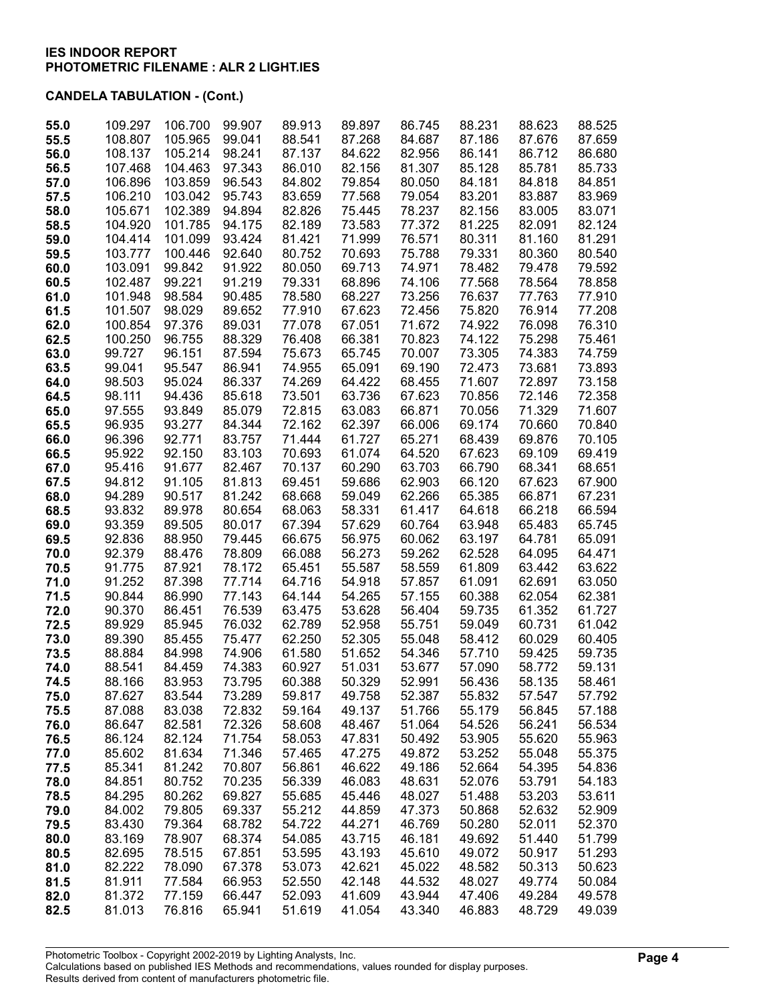| 55.0         | 109.297          | 106.700          | 99.907           | 89.913           | 89.897           | 86.745           | 88.231           | 88.623           | 88.525           |
|--------------|------------------|------------------|------------------|------------------|------------------|------------------|------------------|------------------|------------------|
| 55.5         | 108.807          | 105.965          | 99.041           | 88.541           | 87.268           | 84.687           | 87.186           | 87.676           | 87.659           |
| 56.0         | 108.137          | 105.214          | 98.241           | 87.137           | 84.622           | 82.956           | 86.141           | 86.712           | 86.680           |
| 56.5         | 107.468          | 104.463          | 97.343           | 86.010           | 82.156           | 81.307           | 85.128           | 85.781           | 85.733           |
| 57.0         | 106.896          | 103.859          | 96.543           | 84.802           | 79.854           | 80.050           | 84.181           | 84.818           | 84.851           |
| 57.5         | 106.210          | 103.042          | 95.743           | 83.659           | 77.568           | 79.054           | 83.201           | 83.887           | 83.969           |
| 58.0         | 105.671          | 102.389          | 94.894           | 82.826           | 75.445           | 78.237           | 82.156           | 83.005           | 83.071           |
| 58.5         | 104.920          | 101.785          | 94.175           | 82.189           | 73.583           | 77.372           | 81.225           | 82.091           | 82.124           |
| 59.0         | 104.414          | 101.099          | 93.424           | 81.421           | 71.999           | 76.571           | 80.311           | 81.160           | 81.291           |
| 59.5         | 103.777          | 100.446          | 92.640           | 80.752           | 70.693           | 75.788           | 79.331           | 80.360           | 80.540           |
| 60.0         | 103.091          | 99.842           | 91.922           | 80.050           | 69.713           | 74.971           | 78.482           | 79.478           | 79.592           |
| 60.5         | 102.487          | 99.221           | 91.219           | 79.331           | 68.896           | 74.106           | 77.568           | 78.564           | 78.858           |
| 61.0         | 101.948          | 98.584           | 90.485           | 78.580           | 68.227           | 73.256           | 76.637           | 77.763           | 77.910           |
| 61.5         | 101.507          | 98.029           | 89.652           | 77.910           | 67.623           | 72.456           | 75.820           | 76.914           | 77.208           |
| 62.0         | 100.854          | 97.376           | 89.031           | 77.078           | 67.051           | 71.672           | 74.922           | 76.098           | 76.310           |
| 62.5         | 100.250          | 96.755           | 88.329           | 76.408           | 66.381           | 70.823           | 74.122           | 75.298           | 75.461           |
| 63.0         | 99.727           | 96.151           | 87.594           | 75.673           | 65.745           | 70.007           | 73.305           | 74.383           | 74.759           |
| 63.5         | 99.041           | 95.547           | 86.941           | 74.955           | 65.091           | 69.190           | 72.473           | 73.681           | 73.893           |
| 64.0         | 98.503           | 95.024<br>94.436 | 86.337           | 74.269           | 64.422           | 68.455<br>67.623 | 71.607<br>70.856 | 72.897<br>72.146 | 73.158           |
| 64.5         | 98.111<br>97.555 | 93.849           | 85.618<br>85.079 | 73.501<br>72.815 | 63.736           | 66.871           |                  | 71.329           | 72.358<br>71.607 |
| 65.0<br>65.5 | 96.935           | 93.277           | 84.344           | 72.162           | 63.083<br>62.397 | 66.006           | 70.056<br>69.174 | 70.660           | 70.840           |
| 66.0         | 96.396           | 92.771           | 83.757           | 71.444           | 61.727           | 65.271           | 68.439           | 69.876           | 70.105           |
| 66.5         | 95.922           | 92.150           | 83.103           | 70.693           | 61.074           | 64.520           | 67.623           | 69.109           | 69.419           |
| 67.0         | 95.416           | 91.677           | 82.467           | 70.137           | 60.290           | 63.703           | 66.790           | 68.341           | 68.651           |
| 67.5         | 94.812           | 91.105           | 81.813           | 69.451           | 59.686           | 62.903           | 66.120           | 67.623           | 67.900           |
| 68.0         | 94.289           | 90.517           | 81.242           | 68.668           | 59.049           | 62.266           | 65.385           | 66.871           | 67.231           |
| 68.5         | 93.832           | 89.978           | 80.654           | 68.063           | 58.331           | 61.417           | 64.618           | 66.218           | 66.594           |
| 69.0         | 93.359           | 89.505           | 80.017           | 67.394           | 57.629           | 60.764           | 63.948           | 65.483           | 65.745           |
| 69.5         | 92.836           | 88.950           | 79.445           | 66.675           | 56.975           | 60.062           | 63.197           | 64.781           | 65.091           |
| 70.0         | 92.379           | 88.476           | 78.809           | 66.088           | 56.273           | 59.262           | 62.528           | 64.095           | 64.471           |
| 70.5         | 91.775           | 87.921           | 78.172           | 65.451           | 55.587           | 58.559           | 61.809           | 63.442           | 63.622           |
| 71.0         | 91.252           | 87.398           | 77.714           | 64.716           | 54.918           | 57.857           | 61.091           | 62.691           | 63.050           |
| 71.5         | 90.844           | 86.990           | 77.143           | 64.144           | 54.265           | 57.155           | 60.388           | 62.054           | 62.381           |
| 72.0         | 90.370           | 86.451           | 76.539           | 63.475           | 53.628           | 56.404           | 59.735           | 61.352           | 61.727           |
| 72.5         | 89.929           | 85.945           | 76.032           | 62.789           | 52.958           | 55.751           | 59.049           | 60.731           | 61.042           |
| 73.0         | 89.390           | 85.455           | 75.477           | 62.250           | 52.305           | 55.048           | 58.412           | 60.029           | 60.405           |
| 73.5         | 88.884           | 84.998           | 74.906           | 61.580           | 51.652           | 54.346           | 57.710           | 59.425           | 59.735           |
| 74.0         | 88.541           | 84.459           | 74.383           | 60.927           | 51.031           | 53.677           | 57.090           | 58.772           | 59.131           |
| 74.5         | 88.166           | 83.953           | 73.795           | 60.388           | 50.329           | 52.991           | 56.436           | 58.135           | 58.461           |
| 75.0         | 87.627           | 83.544           | 73.289           | 59.817           | 49.758           | 52.387           | 55.832           | 57.547           | 57.792           |
| 75.5         | 87.088           | 83.038           | 72.832           | 59.164           | 49.137           | 51.766           | 55.179           | 56.845           | 57.188           |
| 76.0         | 86.647           | 82.581           | 72.326           | 58.608           | 48.467           | 51.064           | 54.526           | 56.241           | 56.534           |
| 76.5         | 86.124           | 82.124           | 71.754           | 58.053           | 47.831           | 50.492           | 53.905           | 55.620           | 55.963           |
| 77.0         | 85.602           | 81.634           | 71.346           | 57.465           | 47.275           | 49.872           | 53.252           | 55.048           | 55.375           |
| 77.5         | 85.341           | 81.242           | 70.807           | 56.861           | 46.622           | 49.186           | 52.664           | 54.395           | 54.836           |
| 78.0         | 84.851           | 80.752           | 70.235           | 56.339           | 46.083           | 48.631           | 52.076           | 53.791           | 54.183           |
| 78.5         | 84.295           | 80.262           | 69.827           | 55.685           | 45.446           | 48.027           | 51.488           | 53.203           | 53.611           |
| 79.0         | 84.002           | 79.805           | 69.337           | 55.212           | 44.859           | 47.373           | 50.868           | 52.632           | 52.909           |
| 79.5         | 83.430           | 79.364           | 68.782           | 54.722           | 44.271           | 46.769           | 50.280<br>49.692 | 52.011           | 52.370           |
| 80.0<br>80.5 | 83.169<br>82.695 | 78.907<br>78.515 | 68.374<br>67.851 | 54.085<br>53.595 | 43.715<br>43.193 | 46.181<br>45.610 | 49.072           | 51.440<br>50.917 | 51.799<br>51.293 |
| 81.0         | 82.222           | 78.090           | 67.378           | 53.073           | 42.621           | 45.022           | 48.582           | 50.313           | 50.623           |
| 81.5         | 81.911           | 77.584           | 66.953           | 52.550           | 42.148           | 44.532           | 48.027           | 49.774           | 50.084           |
| 82.0         | 81.372           | 77.159           | 66.447           | 52.093           | 41.609           | 43.944           | 47.406           | 49.284           | 49.578           |
| 82.5         | 81.013           | 76.816           | 65.941           | 51.619           | 41.054           | 43.340           | 46.883           | 48.729           | 49.039           |
|              |                  |                  |                  |                  |                  |                  |                  |                  |                  |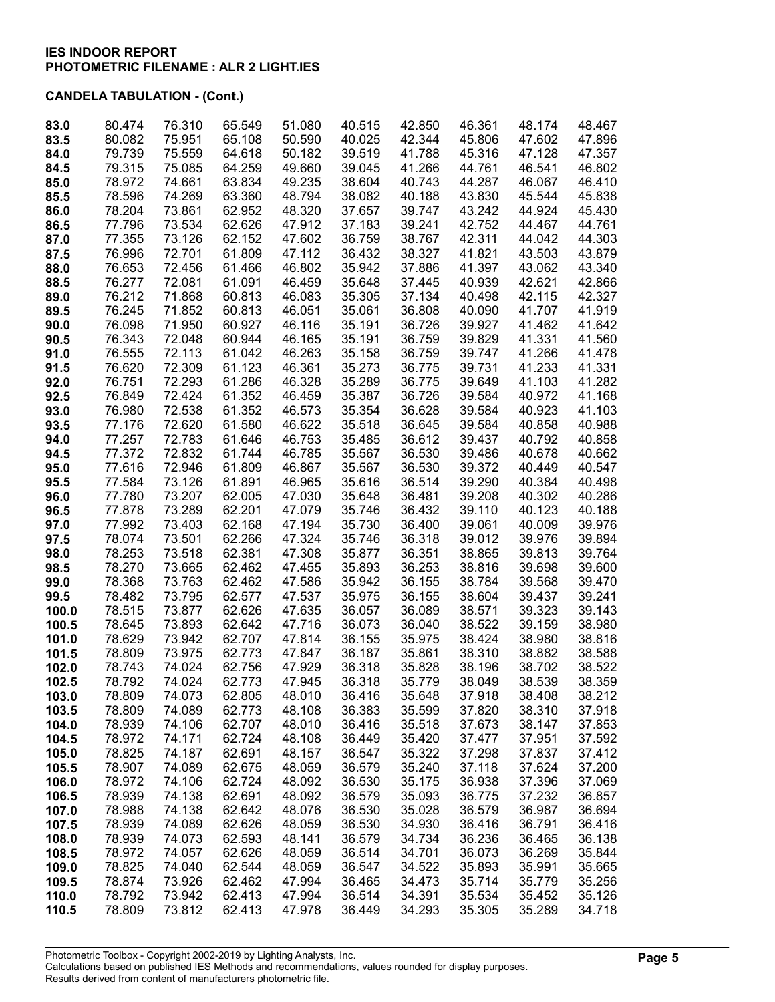| 83.0         | 80.474           | 76.310           | 65.549           | 51.080           | 40.515           | 42.850           | 46.361           | 48.174           | 48.467           |
|--------------|------------------|------------------|------------------|------------------|------------------|------------------|------------------|------------------|------------------|
| 83.5         | 80.082           | 75.951           | 65.108           | 50.590           | 40.025           | 42.344           | 45.806           | 47.602           | 47.896           |
| 84.0         | 79.739           | 75.559           | 64.618           | 50.182           | 39.519           | 41.788           | 45.316           | 47.128           | 47.357           |
| 84.5         | 79.315           | 75.085           | 64.259           | 49.660           | 39.045           | 41.266           | 44.761           | 46.541           | 46.802           |
| 85.0         | 78.972           | 74.661           | 63.834           | 49.235           | 38.604           | 40.743           | 44.287           | 46.067           | 46.410           |
| 85.5         | 78.596           | 74.269           | 63.360           | 48.794           | 38.082           | 40.188           | 43.830           | 45.544           | 45.838           |
| 86.0         | 78.204           | 73.861           | 62.952           | 48.320           | 37.657           | 39.747           | 43.242           | 44.924           | 45.430           |
| 86.5         | 77.796           | 73.534           | 62.626           | 47.912           | 37.183           | 39.241           | 42.752           | 44.467           | 44.761           |
| 87.0         | 77.355           | 73.126           | 62.152           | 47.602           | 36.759           | 38.767           | 42.311           | 44.042           | 44.303           |
| 87.5         | 76.996           | 72.701           | 61.809           | 47.112           | 36.432           | 38.327           | 41.821           | 43.503           | 43.879           |
| 88.0         | 76.653           | 72.456           | 61.466           | 46.802           | 35.942           | 37.886           | 41.397           | 43.062           | 43.340           |
| 88.5         | 76.277           | 72.081           | 61.091           | 46.459           | 35.648           | 37.445           | 40.939           | 42.621           | 42.866           |
| 89.0         | 76.212           | 71.868           | 60.813           | 46.083           | 35.305           | 37.134           | 40.498           | 42.115           | 42.327           |
| 89.5         | 76.245           | 71.852           | 60.813           | 46.051           | 35.061           | 36.808           | 40.090           | 41.707           | 41.919           |
| 90.0         | 76.098           | 71.950           | 60.927           | 46.116           | 35.191           | 36.726           | 39.927           | 41.462           | 41.642           |
| 90.5         | 76.343           | 72.048           | 60.944           | 46.165           | 35.191           | 36.759           | 39.829           | 41.331           | 41.560           |
| 91.0         | 76.555           | 72.113           | 61.042           | 46.263           | 35.158           | 36.759           | 39.747           | 41.266           | 41.478           |
| 91.5         | 76.620           | 72.309           | 61.123           | 46.361           | 35.273           | 36.775           | 39.731           | 41.233           | 41.331           |
| 92.0         | 76.751           | 72.293           | 61.286           | 46.328           | 35.289           | 36.775           | 39.649           | 41.103           | 41.282           |
| 92.5         | 76.849           | 72.424           | 61.352           | 46.459           | 35.387           | 36.726           | 39.584           | 40.972           | 41.168           |
| 93.0         | 76.980           | 72.538           | 61.352           | 46.573           | 35.354           | 36.628           | 39.584           | 40.923           | 41.103           |
| 93.5         | 77.176           | 72.620           | 61.580           | 46.622           | 35.518           | 36.645           | 39.584           | 40.858           | 40.988           |
| 94.0         | 77.257           | 72.783           | 61.646           | 46.753           | 35.485           | 36.612           | 39.437           | 40.792           | 40.858           |
| 94.5         | 77.372           | 72.832           | 61.744           | 46.785           | 35.567           | 36.530           | 39.486           | 40.678           | 40.662           |
| 95.0         | 77.616           | 72.946           | 61.809           | 46.867           | 35.567           | 36.530           | 39.372           | 40.449           | 40.547           |
| 95.5         | 77.584           | 73.126           | 61.891           | 46.965           | 35.616           | 36.514           | 39.290           | 40.384           | 40.498           |
| 96.0         | 77.780           | 73.207<br>73.289 | 62.005<br>62.201 | 47.030<br>47.079 | 35.648<br>35.746 | 36.481           | 39.208<br>39.110 | 40.302<br>40.123 | 40.286           |
| 96.5         | 77.878<br>77.992 | 73.403           | 62.168           |                  | 35.730           | 36.432<br>36.400 | 39.061           |                  | 40.188<br>39.976 |
| 97.0         | 78.074           | 73.501           | 62.266           | 47.194<br>47.324 | 35.746           | 36.318           | 39.012           | 40.009<br>39.976 | 39.894           |
| 97.5<br>98.0 | 78.253           | 73.518           | 62.381           | 47.308           | 35.877           | 36.351           | 38.865           | 39.813           | 39.764           |
| 98.5         | 78.270           | 73.665           | 62.462           | 47.455           | 35.893           | 36.253           | 38.816           | 39.698           | 39.600           |
| 99.0         | 78.368           | 73.763           | 62.462           | 47.586           | 35.942           | 36.155           | 38.784           | 39.568           | 39.470           |
| 99.5         | 78.482           | 73.795           | 62.577           | 47.537           | 35.975           | 36.155           | 38.604           | 39.437           | 39.241           |
| 100.0        | 78.515           | 73.877           | 62.626           | 47.635           | 36.057           | 36.089           | 38.571           | 39.323           | 39.143           |
| 100.5        | 78.645           | 73.893           | 62.642           | 47.716           | 36.073           | 36.040           | 38.522           | 39.159           | 38.980           |
| 101.0        | 78.629           | 73.942           | 62.707           | 47.814           | 36.155           | 35.975           | 38.424           | 38.980           | 38.816           |
| 101.5        | 78.809           | 73.975           | 62.773           | 47.847           | 36.187           | 35.861           | 38.310           | 38.882           | 38.588           |
| 102.0        | 78.743           | 74.024           | 62.756           | 47.929           | 36.318           | 35.828           | 38.196           | 38.702           | 38.522           |
| 102.5        | 78.792           | 74.024           | 62.773           | 47.945           | 36.318           | 35.779           | 38.049           | 38.539           | 38.359           |
| 103.0        | 78.809           | 74.073           | 62.805           | 48.010           | 36.416           | 35.648           | 37.918           | 38.408           | 38.212           |
| 103.5        | 78.809           | 74.089           | 62.773           | 48.108           | 36.383           | 35.599           | 37.820           | 38.310           | 37.918           |
| 104.0        | 78.939           | 74.106           | 62.707           | 48.010           | 36.416           | 35.518           | 37.673           | 38.147           | 37.853           |
| 104.5        | 78.972           | 74.171           | 62.724           | 48.108           | 36.449           | 35.420           | 37.477           | 37.951           | 37.592           |
| 105.0        | 78.825           | 74.187           | 62.691           | 48.157           | 36.547           | 35.322           | 37.298           | 37.837           | 37.412           |
| 105.5        | 78.907           | 74.089           | 62.675           | 48.059           | 36.579           | 35.240           | 37.118           | 37.624           | 37.200           |
| 106.0        | 78.972           | 74.106           | 62.724           | 48.092           | 36.530           | 35.175           | 36.938           | 37.396           | 37.069           |
| 106.5        | 78.939           | 74.138           | 62.691           | 48.092           | 36.579           | 35.093           | 36.775           | 37.232           | 36.857           |
| 107.0        | 78.988           | 74.138           | 62.642           | 48.076           | 36.530           | 35.028           | 36.579           | 36.987           | 36.694           |
| 107.5        | 78.939           | 74.089           | 62.626           | 48.059           | 36.530           | 34.930           | 36.416           | 36.791           | 36.416           |
| 108.0        | 78.939           | 74.073           | 62.593           | 48.141           | 36.579           | 34.734           | 36.236           | 36.465           | 36.138           |
| 108.5        | 78.972           | 74.057           | 62.626           | 48.059           | 36.514           | 34.701           | 36.073           | 36.269           | 35.844           |
| 109.0        | 78.825           | 74.040           | 62.544           | 48.059           | 36.547           | 34.522           | 35.893           | 35.991           | 35.665           |
| 109.5        | 78.874           | 73.926           | 62.462           | 47.994           | 36.465           | 34.473           | 35.714           | 35.779           | 35.256           |
| 110.0        | 78.792           | 73.942           | 62.413           | 47.994           | 36.514           | 34.391           | 35.534           | 35.452           | 35.126           |
| 110.5        | 78.809           | 73.812           | 62.413           | 47.978           | 36.449           | 34.293           | 35.305           | 35.289           | 34.718           |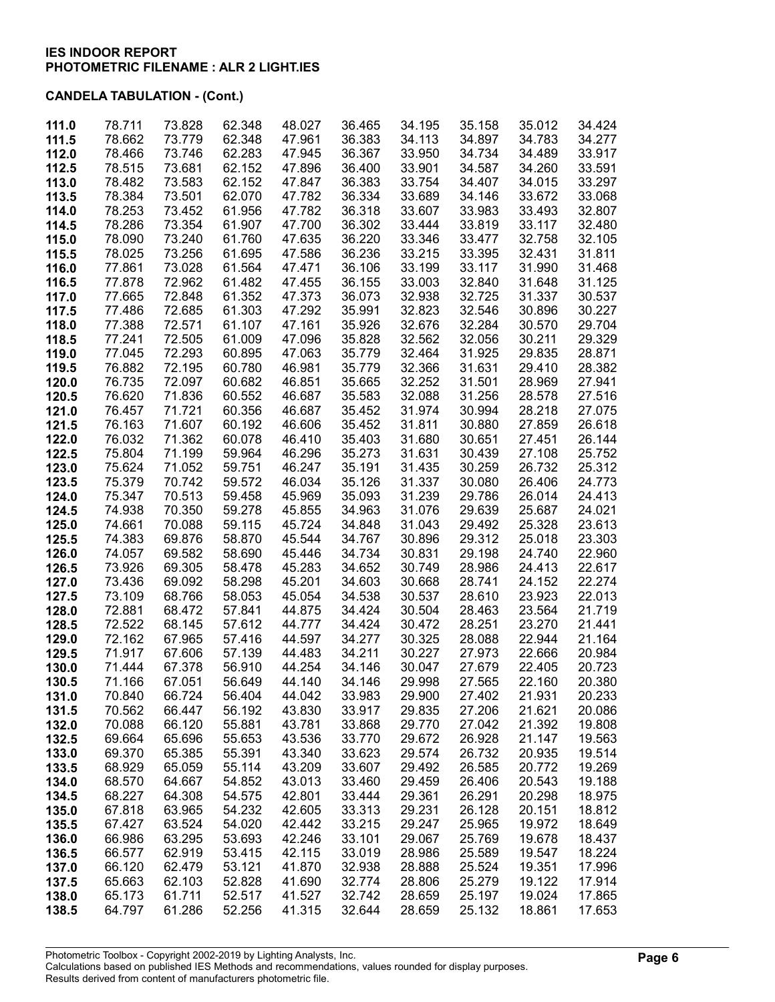| 111.0 | 78.711 | 73.828 | 62.348 | 48.027 | 36.465 | 34.195 | 35.158 | 35.012 | 34.424 |
|-------|--------|--------|--------|--------|--------|--------|--------|--------|--------|
|       |        |        |        |        |        |        |        |        |        |
| 111.5 | 78.662 | 73.779 | 62.348 | 47.961 | 36.383 | 34.113 | 34.897 | 34.783 | 34.277 |
| 112.0 | 78.466 | 73.746 | 62.283 | 47.945 | 36.367 | 33.950 | 34.734 | 34.489 | 33.917 |
| 112.5 | 78.515 | 73.681 | 62.152 | 47.896 | 36.400 | 33.901 | 34.587 | 34.260 | 33.591 |
| 113.0 | 78.482 | 73.583 | 62.152 | 47.847 | 36.383 | 33.754 | 34.407 | 34.015 | 33.297 |
|       |        |        |        |        |        |        |        |        |        |
| 113.5 | 78.384 | 73.501 | 62.070 | 47.782 | 36.334 | 33.689 | 34.146 | 33.672 | 33.068 |
| 114.0 | 78.253 | 73.452 | 61.956 | 47.782 | 36.318 | 33.607 | 33.983 | 33.493 | 32.807 |
| 114.5 | 78.286 | 73.354 | 61.907 | 47.700 | 36.302 | 33.444 | 33.819 | 33.117 | 32.480 |
| 115.0 | 78.090 | 73.240 | 61.760 | 47.635 | 36.220 | 33.346 | 33.477 | 32.758 | 32.105 |
| 115.5 | 78.025 | 73.256 | 61.695 | 47.586 | 36.236 | 33.215 | 33.395 | 32.431 | 31.811 |
| 116.0 | 77.861 | 73.028 | 61.564 | 47.471 | 36.106 | 33.199 | 33.117 | 31.990 | 31.468 |
|       |        |        |        |        |        |        |        |        |        |
| 116.5 | 77.878 | 72.962 | 61.482 | 47.455 | 36.155 | 33.003 | 32.840 | 31.648 | 31.125 |
| 117.0 | 77.665 | 72.848 | 61.352 | 47.373 | 36.073 | 32.938 | 32.725 | 31.337 | 30.537 |
| 117.5 | 77.486 | 72.685 | 61.303 | 47.292 | 35.991 | 32.823 | 32.546 | 30.896 | 30.227 |
| 118.0 | 77.388 | 72.571 | 61.107 | 47.161 | 35.926 | 32.676 | 32.284 | 30.570 | 29.704 |
| 118.5 | 77.241 | 72.505 | 61.009 | 47.096 | 35.828 | 32.562 | 32.056 | 30.211 | 29.329 |
| 119.0 | 77.045 | 72.293 | 60.895 | 47.063 | 35.779 | 32.464 | 31.925 | 29.835 | 28.871 |
|       |        |        |        |        |        |        |        |        |        |
| 119.5 | 76.882 | 72.195 | 60.780 | 46.981 | 35.779 | 32.366 | 31.631 | 29.410 | 28.382 |
| 120.0 | 76.735 | 72.097 | 60.682 | 46.851 | 35.665 | 32.252 | 31.501 | 28.969 | 27.941 |
| 120.5 | 76.620 | 71.836 | 60.552 | 46.687 | 35.583 | 32.088 | 31.256 | 28.578 | 27.516 |
| 121.0 | 76.457 | 71.721 | 60.356 | 46.687 | 35.452 | 31.974 | 30.994 | 28.218 | 27.075 |
| 121.5 | 76.163 | 71.607 | 60.192 | 46.606 | 35.452 | 31.811 | 30.880 | 27.859 | 26.618 |
| 122.0 | 76.032 | 71.362 | 60.078 | 46.410 | 35.403 | 31.680 | 30.651 | 27.451 | 26.144 |
|       |        |        |        |        |        |        |        |        | 25.752 |
| 122.5 | 75.804 | 71.199 | 59.964 | 46.296 | 35.273 | 31.631 | 30.439 | 27.108 |        |
| 123.0 | 75.624 | 71.052 | 59.751 | 46.247 | 35.191 | 31.435 | 30.259 | 26.732 | 25.312 |
| 123.5 | 75.379 | 70.742 | 59.572 | 46.034 | 35.126 | 31.337 | 30.080 | 26.406 | 24.773 |
| 124.0 | 75.347 | 70.513 | 59.458 | 45.969 | 35.093 | 31.239 | 29.786 | 26.014 | 24.413 |
| 124.5 | 74.938 | 70.350 | 59.278 | 45.855 | 34.963 | 31.076 | 29.639 | 25.687 | 24.021 |
| 125.0 | 74.661 | 70.088 | 59.115 | 45.724 | 34.848 | 31.043 | 29.492 | 25.328 | 23.613 |
| 125.5 | 74.383 | 69.876 | 58.870 | 45.544 | 34.767 | 30.896 | 29.312 | 25.018 | 23.303 |
|       |        |        |        |        |        |        |        |        |        |
| 126.0 | 74.057 | 69.582 | 58.690 | 45.446 | 34.734 | 30.831 | 29.198 | 24.740 | 22.960 |
| 126.5 | 73.926 | 69.305 | 58.478 | 45.283 | 34.652 | 30.749 | 28.986 | 24.413 | 22.617 |
| 127.0 | 73.436 | 69.092 | 58.298 | 45.201 | 34.603 | 30.668 | 28.741 | 24.152 | 22.274 |
| 127.5 | 73.109 | 68.766 | 58.053 | 45.054 | 34.538 | 30.537 | 28.610 | 23.923 | 22.013 |
| 128.0 | 72.881 | 68.472 | 57.841 | 44.875 | 34.424 | 30.504 | 28.463 | 23.564 | 21.719 |
| 128.5 | 72.522 | 68.145 | 57.612 | 44.777 | 34.424 | 30.472 | 28.251 | 23.270 | 21.441 |
|       | 72.162 |        |        |        |        |        |        |        |        |
| 129.0 |        | 67.965 | 57.416 | 44.597 | 34.277 | 30.325 | 28.088 | 22.944 | 21.164 |
| 129.5 | 71.917 | 67.606 | 57.139 | 44.483 | 34.211 | 30.227 | 27.973 | 22.666 | 20.984 |
| 130.0 | 71.444 | 67.378 | 56.910 | 44.254 | 34.146 | 30.047 | 27.679 | 22.405 | 20.723 |
| 130.5 | 71.166 | 67.051 | 56.649 | 44.140 | 34.146 | 29.998 | 27.565 | 22.160 | 20.380 |
| 131.0 | 70.840 | 66.724 | 56.404 | 44.042 | 33.983 | 29.900 | 27.402 | 21.931 | 20.233 |
| 131.5 | 70.562 | 66.447 | 56.192 | 43.830 | 33.917 | 29.835 | 27.206 | 21.621 | 20.086 |
| 132.0 | 70.088 | 66.120 | 55.881 | 43.781 | 33.868 | 29.770 | 27.042 | 21.392 | 19.808 |
|       |        |        |        | 43.536 |        |        |        |        |        |
| 132.5 | 69.664 | 65.696 | 55.653 |        | 33.770 | 29.672 | 26.928 | 21.147 | 19.563 |
| 133.0 | 69.370 | 65.385 | 55.391 | 43.340 | 33.623 | 29.574 | 26.732 | 20.935 | 19.514 |
| 133.5 | 68.929 | 65.059 | 55.114 | 43.209 | 33.607 | 29.492 | 26.585 | 20.772 | 19.269 |
| 134.0 | 68.570 | 64.667 | 54.852 | 43.013 | 33.460 | 29.459 | 26.406 | 20.543 | 19.188 |
| 134.5 | 68.227 | 64.308 | 54.575 | 42.801 | 33.444 | 29.361 | 26.291 | 20.298 | 18.975 |
| 135.0 | 67.818 | 63.965 | 54.232 | 42.605 | 33.313 | 29.231 | 26.128 | 20.151 | 18.812 |
| 135.5 | 67.427 | 63.524 | 54.020 | 42.442 | 33.215 | 29.247 | 25.965 | 19.972 | 18.649 |
|       |        |        |        |        |        |        |        |        |        |
| 136.0 | 66.986 | 63.295 | 53.693 | 42.246 | 33.101 | 29.067 | 25.769 | 19.678 | 18.437 |
| 136.5 | 66.577 | 62.919 | 53.415 | 42.115 | 33.019 | 28.986 | 25.589 | 19.547 | 18.224 |
| 137.0 | 66.120 | 62.479 | 53.121 | 41.870 | 32.938 | 28.888 | 25.524 | 19.351 | 17.996 |
| 137.5 | 65.663 | 62.103 | 52.828 | 41.690 | 32.774 | 28.806 | 25.279 | 19.122 | 17.914 |
| 138.0 | 65.173 | 61.711 | 52.517 | 41.527 | 32.742 | 28.659 | 25.197 | 19.024 | 17.865 |
| 138.5 | 64.797 | 61.286 | 52.256 | 41.315 | 32.644 | 28.659 | 25.132 | 18.861 | 17.653 |
|       |        |        |        |        |        |        |        |        |        |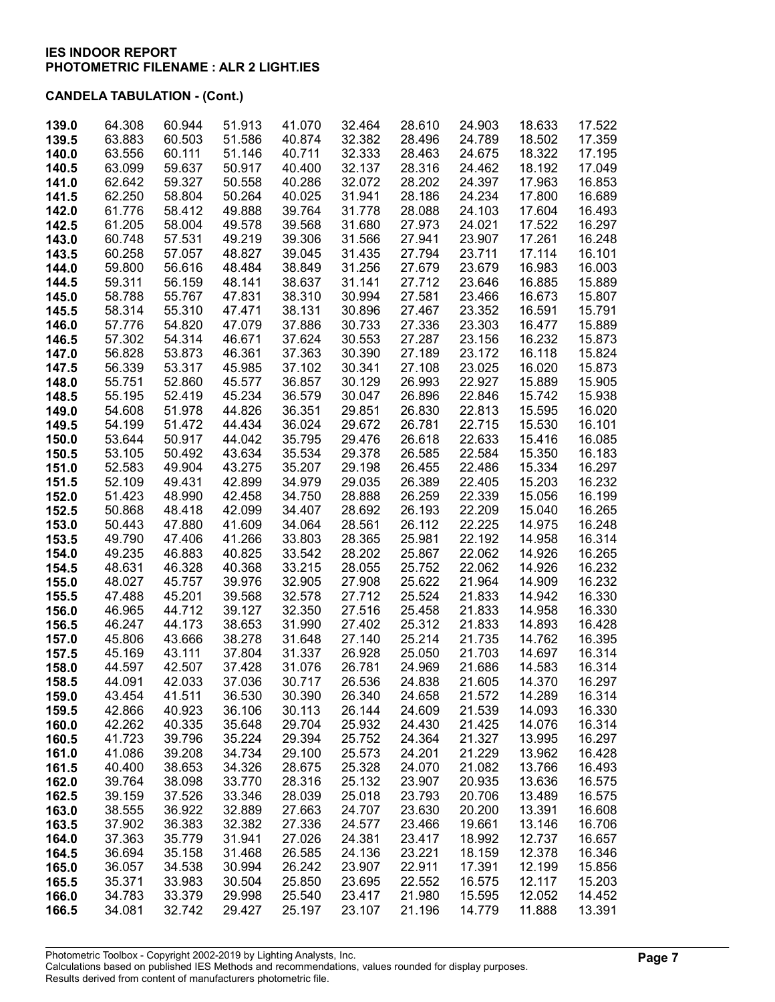| 139.0 | 64.308 | 60.944 | 51.913 | 41.070 | 32.464 | 28.610 | 24.903 | 18.633 | 17.522 |
|-------|--------|--------|--------|--------|--------|--------|--------|--------|--------|
| 139.5 | 63.883 | 60.503 | 51.586 | 40.874 | 32.382 | 28.496 | 24.789 | 18.502 | 17.359 |
| 140.0 | 63.556 | 60.111 | 51.146 | 40.711 | 32.333 | 28.463 | 24.675 | 18.322 | 17.195 |
| 140.5 | 63.099 | 59.637 | 50.917 | 40.400 | 32.137 | 28.316 | 24.462 | 18.192 | 17.049 |
| 141.0 | 62.642 | 59.327 | 50.558 | 40.286 | 32.072 | 28.202 | 24.397 | 17.963 | 16.853 |
| 141.5 | 62.250 | 58.804 | 50.264 | 40.025 | 31.941 | 28.186 | 24.234 | 17.800 | 16.689 |
| 142.0 | 61.776 | 58.412 | 49.888 | 39.764 | 31.778 | 28.088 | 24.103 | 17.604 | 16.493 |
| 142.5 | 61.205 | 58.004 | 49.578 | 39.568 | 31.680 | 27.973 | 24.021 | 17.522 | 16.297 |
| 143.0 | 60.748 | 57.531 | 49.219 | 39.306 | 31.566 | 27.941 | 23.907 | 17.261 | 16.248 |
| 143.5 | 60.258 | 57.057 | 48.827 | 39.045 | 31.435 | 27.794 | 23.711 | 17.114 | 16.101 |
| 144.0 | 59.800 | 56.616 | 48.484 | 38.849 | 31.256 | 27.679 | 23.679 | 16.983 | 16.003 |
| 144.5 | 59.311 | 56.159 | 48.141 | 38.637 | 31.141 | 27.712 | 23.646 | 16.885 | 15.889 |
| 145.0 | 58.788 | 55.767 | 47.831 | 38.310 | 30.994 | 27.581 | 23.466 | 16.673 | 15.807 |
| 145.5 | 58.314 | 55.310 | 47.471 | 38.131 | 30.896 | 27.467 | 23.352 | 16.591 | 15.791 |
| 146.0 | 57.776 | 54.820 | 47.079 | 37.886 | 30.733 | 27.336 | 23.303 | 16.477 | 15.889 |
| 146.5 | 57.302 | 54.314 | 46.671 | 37.624 | 30.553 | 27.287 | 23.156 | 16.232 | 15.873 |
| 147.0 | 56.828 | 53.873 | 46.361 | 37.363 | 30.390 | 27.189 | 23.172 | 16.118 | 15.824 |
| 147.5 | 56.339 | 53.317 | 45.985 | 37.102 | 30.341 | 27.108 | 23.025 | 16.020 | 15.873 |
| 148.0 | 55.751 | 52.860 | 45.577 | 36.857 | 30.129 | 26.993 | 22.927 | 15.889 | 15.905 |
| 148.5 | 55.195 | 52.419 | 45.234 | 36.579 | 30.047 | 26.896 | 22.846 | 15.742 | 15.938 |
| 149.0 | 54.608 | 51.978 | 44.826 | 36.351 | 29.851 | 26.830 | 22.813 | 15.595 | 16.020 |
| 149.5 | 54.199 | 51.472 | 44.434 | 36.024 | 29.672 | 26.781 | 22.715 | 15.530 | 16.101 |
| 150.0 | 53.644 | 50.917 | 44.042 | 35.795 | 29.476 | 26.618 | 22.633 | 15.416 | 16.085 |
| 150.5 | 53.105 | 50.492 | 43.634 | 35.534 | 29.378 | 26.585 | 22.584 | 15.350 | 16.183 |
| 151.0 | 52.583 | 49.904 | 43.275 | 35.207 | 29.198 | 26.455 | 22.486 | 15.334 | 16.297 |
| 151.5 | 52.109 | 49.431 | 42.899 | 34.979 | 29.035 | 26.389 | 22.405 | 15.203 | 16.232 |
| 152.0 | 51.423 | 48.990 | 42.458 | 34.750 | 28.888 | 26.259 | 22.339 | 15.056 | 16.199 |
| 152.5 | 50.868 | 48.418 | 42.099 | 34.407 | 28.692 | 26.193 | 22.209 | 15.040 | 16.265 |
| 153.0 | 50.443 | 47.880 | 41.609 | 34.064 | 28.561 | 26.112 | 22.225 | 14.975 | 16.248 |
| 153.5 | 49.790 | 47.406 | 41.266 | 33.803 | 28.365 | 25.981 | 22.192 | 14.958 | 16.314 |
| 154.0 | 49.235 | 46.883 | 40.825 | 33.542 | 28.202 | 25.867 | 22.062 | 14.926 | 16.265 |
| 154.5 | 48.631 | 46.328 | 40.368 | 33.215 | 28.055 | 25.752 | 22.062 | 14.926 | 16.232 |
| 155.0 | 48.027 | 45.757 | 39.976 | 32.905 | 27.908 | 25.622 | 21.964 | 14.909 | 16.232 |
| 155.5 | 47.488 | 45.201 | 39.568 | 32.578 | 27.712 | 25.524 | 21.833 | 14.942 | 16.330 |
| 156.0 | 46.965 | 44.712 | 39.127 | 32.350 | 27.516 | 25.458 | 21.833 | 14.958 | 16.330 |
| 156.5 | 46.247 | 44.173 | 38.653 | 31.990 | 27.402 | 25.312 | 21.833 | 14.893 | 16.428 |
| 157.0 | 45.806 | 43.666 | 38.278 | 31.648 | 27.140 | 25.214 | 21.735 | 14.762 | 16.395 |
| 157.5 | 45.169 | 43.111 | 37.804 | 31.337 | 26.928 | 25.050 | 21.703 | 14.697 | 16.314 |
| 158.0 | 44.597 | 42.507 | 37.428 | 31.076 | 26.781 | 24.969 | 21.686 | 14.583 | 16.314 |
| 158.5 | 44.091 | 42.033 | 37.036 | 30.717 | 26.536 | 24.838 | 21.605 | 14.370 | 16.297 |
| 159.0 | 43.454 | 41.511 | 36.530 | 30.390 | 26.340 | 24.658 | 21.572 | 14.289 | 16.314 |
| 159.5 | 42.866 | 40.923 | 36.106 | 30.113 | 26.144 | 24.609 | 21.539 | 14.093 | 16.330 |
| 160.0 | 42.262 | 40.335 | 35.648 | 29.704 | 25.932 | 24.430 | 21.425 | 14.076 | 16.314 |
| 160.5 | 41.723 | 39.796 | 35.224 | 29.394 | 25.752 | 24.364 | 21.327 | 13.995 | 16.297 |
| 161.0 | 41.086 | 39.208 | 34.734 | 29.100 | 25.573 | 24.201 | 21.229 | 13.962 | 16.428 |
| 161.5 | 40.400 | 38.653 | 34.326 | 28.675 | 25.328 | 24.070 | 21.082 | 13.766 | 16.493 |
| 162.0 | 39.764 | 38.098 | 33.770 | 28.316 | 25.132 | 23.907 | 20.935 | 13.636 | 16.575 |
| 162.5 | 39.159 | 37.526 | 33.346 | 28.039 | 25.018 | 23.793 | 20.706 | 13.489 | 16.575 |
| 163.0 | 38.555 | 36.922 | 32.889 | 27.663 | 24.707 | 23.630 | 20.200 | 13.391 | 16.608 |
| 163.5 | 37.902 | 36.383 | 32.382 | 27.336 | 24.577 | 23.466 | 19.661 | 13.146 | 16.706 |
| 164.0 | 37.363 | 35.779 | 31.941 | 27.026 | 24.381 | 23.417 | 18.992 | 12.737 | 16.657 |
| 164.5 | 36.694 | 35.158 | 31.468 | 26.585 | 24.136 | 23.221 | 18.159 | 12.378 | 16.346 |
| 165.0 | 36.057 | 34.538 | 30.994 | 26.242 | 23.907 | 22.911 | 17.391 | 12.199 | 15.856 |
| 165.5 | 35.371 | 33.983 | 30.504 | 25.850 | 23.695 | 22.552 | 16.575 | 12.117 | 15.203 |
| 166.0 | 34.783 | 33.379 | 29.998 | 25.540 | 23.417 | 21.980 | 15.595 | 12.052 | 14.452 |
| 166.5 | 34.081 | 32.742 | 29.427 | 25.197 | 23.107 | 21.196 | 14.779 | 11.888 | 13.391 |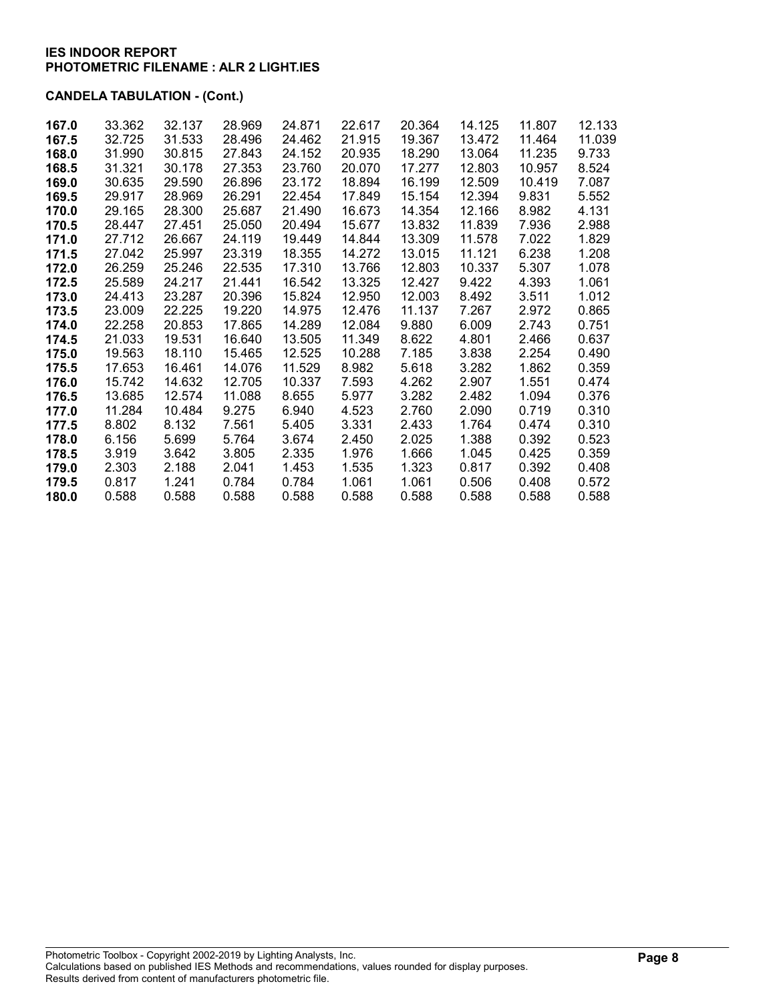| 167.0 | 33.362 | 32.137 | 28.969 | 24.871 | 22.617 | 20.364 | 14.125 | 11.807 | 12.133 |
|-------|--------|--------|--------|--------|--------|--------|--------|--------|--------|
| 167.5 | 32.725 | 31.533 | 28.496 | 24.462 | 21.915 | 19.367 | 13.472 | 11.464 | 11.039 |
| 168.0 | 31.990 | 30.815 | 27.843 | 24.152 | 20.935 | 18.290 | 13.064 | 11.235 | 9.733  |
| 168.5 | 31.321 | 30.178 | 27.353 | 23.760 | 20.070 | 17.277 | 12.803 | 10.957 | 8.524  |
| 169.0 | 30.635 | 29.590 | 26.896 | 23.172 | 18.894 | 16.199 | 12.509 | 10.419 | 7.087  |
| 169.5 | 29.917 | 28.969 | 26.291 | 22.454 | 17.849 | 15.154 | 12.394 | 9.831  | 5.552  |
| 170.0 | 29.165 | 28.300 | 25.687 | 21.490 | 16.673 | 14.354 | 12.166 | 8.982  | 4.131  |
| 170.5 | 28.447 | 27.451 | 25.050 | 20.494 | 15.677 | 13.832 | 11.839 | 7.936  | 2.988  |
| 171.0 | 27.712 | 26.667 | 24.119 | 19.449 | 14.844 | 13.309 | 11.578 | 7.022  | 1.829  |
| 171.5 | 27.042 | 25.997 | 23.319 | 18.355 | 14.272 | 13.015 | 11.121 | 6.238  | 1.208  |
| 172.0 | 26.259 | 25.246 | 22.535 | 17.310 | 13.766 | 12.803 | 10.337 | 5.307  | 1.078  |
| 172.5 | 25.589 | 24.217 | 21.441 | 16.542 | 13.325 | 12.427 | 9.422  | 4.393  | 1.061  |
| 173.0 | 24.413 | 23.287 | 20.396 | 15.824 | 12.950 | 12.003 | 8.492  | 3.511  | 1.012  |
| 173.5 | 23,009 | 22.225 | 19.220 | 14.975 | 12.476 | 11.137 | 7.267  | 2.972  | 0.865  |
| 174.0 | 22.258 | 20.853 | 17.865 | 14.289 | 12.084 | 9.880  | 6.009  | 2.743  | 0.751  |
| 174.5 | 21.033 | 19.531 | 16.640 | 13.505 | 11.349 | 8.622  | 4.801  | 2.466  | 0.637  |
| 175.0 | 19.563 | 18.110 | 15.465 | 12.525 | 10.288 | 7.185  | 3.838  | 2.254  | 0.490  |
| 175.5 | 17.653 | 16.461 | 14.076 | 11.529 | 8.982  | 5.618  | 3.282  | 1.862  | 0.359  |
| 176.0 | 15.742 | 14.632 | 12.705 | 10.337 | 7.593  | 4.262  | 2.907  | 1.551  | 0.474  |
| 176.5 | 13.685 | 12.574 | 11.088 | 8.655  | 5.977  | 3.282  | 2.482  | 1.094  | 0.376  |
| 177.0 | 11.284 | 10.484 | 9.275  | 6.940  | 4.523  | 2.760  | 2.090  | 0.719  | 0.310  |
| 177.5 | 8.802  | 8.132  | 7.561  | 5.405  | 3.331  | 2.433  | 1.764  | 0.474  | 0.310  |
| 178.0 | 6.156  | 5.699  | 5.764  | 3.674  | 2.450  | 2.025  | 1.388  | 0.392  | 0.523  |
| 178.5 | 3.919  | 3.642  | 3.805  | 2.335  | 1.976  | 1.666  | 1.045  | 0.425  | 0.359  |
| 179.0 | 2.303  | 2.188  | 2.041  | 1.453  | 1.535  | 1.323  | 0.817  | 0.392  | 0.408  |
| 179.5 | 0.817  | 1.241  | 0.784  | 0.784  | 1.061  | 1.061  | 0.506  | 0.408  | 0.572  |
| 180.0 | 0.588  | 0.588  | 0.588  | 0.588  | 0.588  | 0.588  | 0.588  | 0.588  | 0.588  |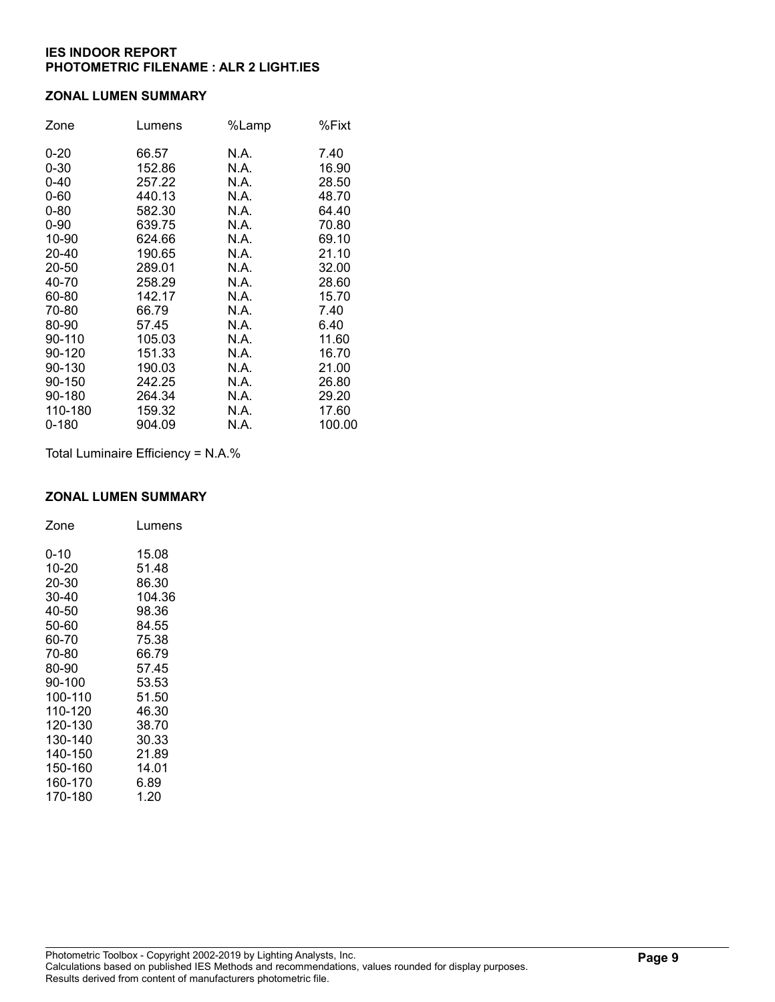#### ZONAL LUMEN SUMMARY

| Zone     | Lumens | %Lamp | %Fixt  |
|----------|--------|-------|--------|
| $0 - 20$ | 66.57  | N.A.  | 7.40   |
| $0 - 30$ | 152.86 | N.A.  | 16.90  |
| $0 - 40$ | 257.22 | N.A.  | 28.50  |
| $0 - 60$ | 440.13 | N.A.  | 48.70  |
| $0 - 80$ | 582.30 | N.A.  | 64.40  |
| $0 - 90$ | 639.75 | N.A.  | 70.80  |
| 10-90    | 624.66 | N.A.  | 69.10  |
| 20-40    | 190.65 | N.A.  | 21.10  |
| 20-50    | 289.01 | N.A.  | 32.00  |
| 40-70    | 258.29 | N.A.  | 28.60  |
| 60-80    | 142.17 | N.A.  | 15.70  |
| 70-80    | 66.79  | N.A.  | 7.40   |
| 80-90    | 57.45  | N.A.  | 6.40   |
| 90-110   | 105.03 | N.A.  | 11.60  |
| 90-120   | 151.33 | N.A.  | 16.70  |
| 90-130   | 190.03 | N.A.  | 21.00  |
| 90-150   | 242.25 | N.A.  | 26.80  |
| 90-180   | 264.34 | N.A.  | 29.20  |
| 110-180  | 159.32 | N.A.  | 17.60  |
| 0-180    | 904.09 | N.A.  | 100.00 |

Total Luminaire Efficiency = N.A.%

### ZONAL LUMEN SUMMARY

| Zone    | Lumens |
|---------|--------|
| 0-10    | 15.08  |
| 10-20   | 51.48  |
| 20-30   | 86.30  |
| 30-40   | 104.36 |
| 40-50   | 98.36  |
| 50-60   | 84.55  |
| 60-70   | 75.38  |
| 70-80   | 66.79  |
| 80-90   | 57.45  |
| 90-100  | 53.53  |
| 100-110 | 51.50  |
| 110-120 | 46.30  |
| 120-130 | 38.70  |
| 130-140 | 30.33  |
| 140-150 | 21.89  |
| 150-160 | 14.01  |
| 160-170 | 6.89   |
| 170-180 | 1.20   |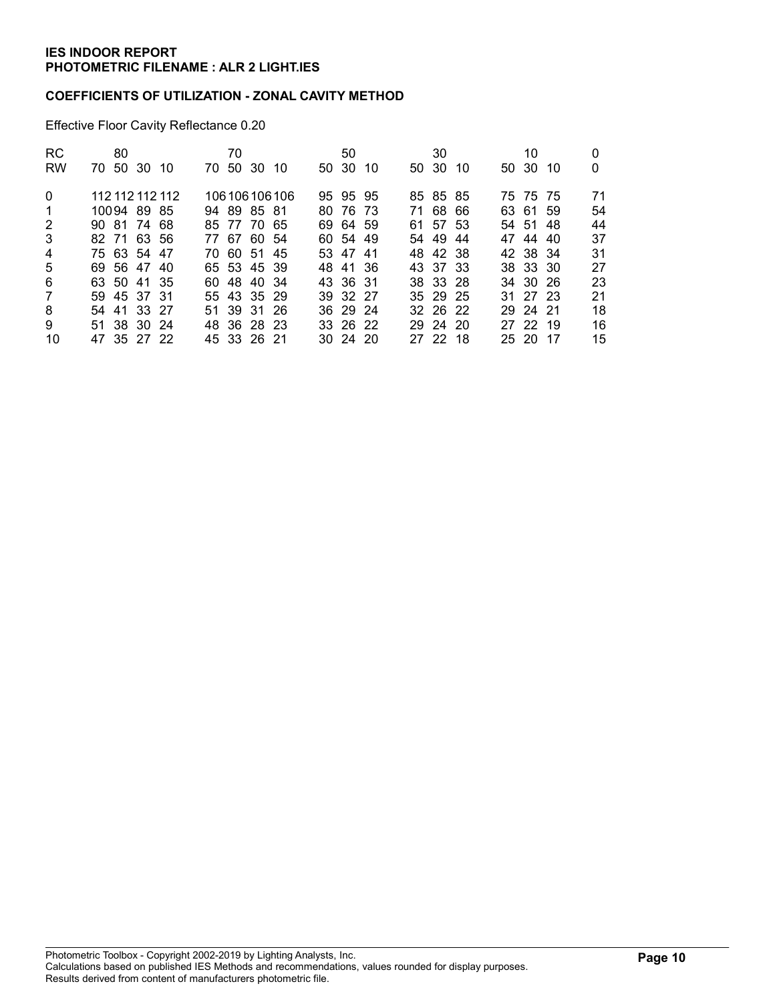### COEFFICIENTS OF UTILIZATION - ZONAL CAVITY METHOD

Effective Floor Cavity Reflectance 0.20

| <b>RC</b>      |             | 80 |                 | 70          |                 | 50           |     | 30       |     | 10       |     |    |
|----------------|-------------|----|-----------------|-------------|-----------------|--------------|-----|----------|-----|----------|-----|----|
| <b>RW</b>      | 70 50 30 10 |    |                 | 70 50 30 10 |                 | 50 30        | -10 | 50 30    | -10 | 50 30    | -10 | 0  |
| $\Omega$       |             |    | 112 112 112 112 |             | 106 106 106 106 | 95 95 95     |     | 85 85 85 |     | 75 75 75 |     | 71 |
| $\overline{1}$ | 10094 89 85 |    |                 | 94 89 85 81 |                 | 80 76 73     |     | 71 68 66 |     | 63 61 59 |     | 54 |
| 2              | 90 81 74 68 |    |                 | 85 77 70 65 |                 | 69 64 59     |     | 61 57 53 |     | 54 51 48 |     | 44 |
| 3              | 82 71 63 56 |    |                 | 77 67 60 54 |                 | 60 54 49     |     | 54 49    | -44 | 47 44 40 |     | 37 |
| $\overline{4}$ | 75 63 54 47 |    |                 | 70 60 51 45 |                 | 53 47 41     |     | 48 42 38 |     | 42 38 34 |     | 31 |
| 5              | 69 56 47 40 |    |                 | 65 53 45 39 |                 | 48 41 36     |     | 43 37 33 |     | 38 33 30 |     | 27 |
| 6              | 63 50 41 35 |    |                 | 60 48 40 34 |                 | 43 36 31     |     | 38 33 28 |     | 34 30 26 |     | 23 |
| 7              | 59 45 37 31 |    |                 | 55 43 35 29 |                 | 39 32 27     |     | 35 29 25 |     | 31 27 23 |     | 21 |
| 8              | 54 41 33 27 |    |                 | 51 39 31 26 |                 | 36 29 24     |     | 32 26 22 |     | 29 24 21 |     | 18 |
| 9              | 51 38 30 24 |    |                 | 48 36 28 23 |                 | 33 26 22     |     | 29 24 20 |     | 27 22 19 |     | 16 |
| 10             | 47 35 27 22 |    |                 | 45 33 26 21 |                 | $30\,24\,20$ |     | 27 22 18 |     | 25 20 17 |     | 15 |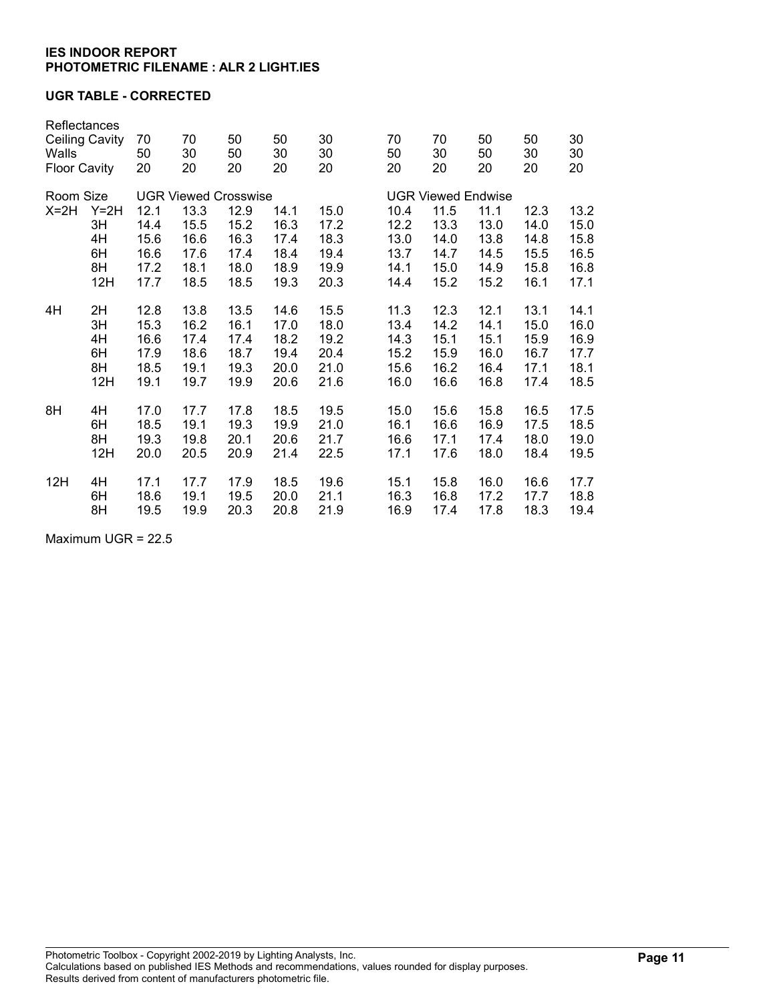### UGR TABLE - CORRECTED

| Reflectances<br><b>Ceiling Cavity</b><br>Walls<br><b>Floor Cavity</b> |        | 70<br>50<br>20              | 70<br>30<br>20 | 50<br>50<br>20 | 50<br>30<br>20 | 30<br>30<br>20 | 70<br>50<br>20 | 70<br>30<br>20            | 50<br>50<br>20 | 50<br>30<br>20 | 30<br>30<br>20 |  |
|-----------------------------------------------------------------------|--------|-----------------------------|----------------|----------------|----------------|----------------|----------------|---------------------------|----------------|----------------|----------------|--|
|                                                                       |        |                             |                |                |                |                |                |                           |                |                |                |  |
| Room Size                                                             |        | <b>UGR Viewed Crosswise</b> |                |                |                |                |                | <b>UGR Viewed Endwise</b> |                |                |                |  |
| $X=2H$                                                                | $Y=2H$ | 12.1                        | 13.3           | 12.9           | 14.1           | 15.0           | 10.4           | 11.5                      | 11.1           | 12.3           | 13.2           |  |
|                                                                       | 3H     | 14.4                        | 15.5           | 15.2           | 16.3           | 17.2           | 12.2           | 13.3                      | 13.0           | 14.0           | 15.0           |  |
|                                                                       | 4H     | 15.6                        | 16.6           | 16.3           | 17.4           | 18.3           | 13.0           | 14.0                      | 13.8           | 14.8           | 15.8           |  |
|                                                                       | 6H     | 16.6                        | 17.6           | 17.4           | 18.4           | 19.4           | 13.7           | 14.7                      | 14.5           | 15.5           | 16.5           |  |
|                                                                       | 8H     | 17.2                        | 18.1           | 18.0           | 18.9           | 19.9           | 14.1           | 15.0                      | 14.9           | 15.8           | 16.8           |  |
|                                                                       | 12H    | 17.7                        | 18.5           | 18.5           | 19.3           | 20.3           | 14.4           | 15.2                      | 15.2           | 16.1           | 17.1           |  |
| 4H                                                                    | 2H     | 12.8                        | 13.8           | 13.5           | 14.6           | 15.5           | 11.3           | 12.3                      | 12.1           | 13.1           | 14.1           |  |
|                                                                       | 3H     | 15.3                        | 16.2           | 16.1           | 17.0           | 18.0           | 13.4           | 14.2                      | 14.1           | 15.0           | 16.0           |  |
|                                                                       | 4H     | 16.6                        | 17.4           | 17.4           | 18.2           | 19.2           | 14.3           | 15.1                      | 15.1           | 15.9           | 16.9           |  |
|                                                                       | 6H     | 17.9                        | 18.6           | 18.7           | 19.4           | 20.4           | 15.2           | 15.9                      | 16.0           | 16.7           | 17.7           |  |
|                                                                       | 8H     | 18.5                        | 19.1           | 19.3           | 20.0           | 21.0           | 15.6           | 16.2                      | 16.4           | 17.1           | 18.1           |  |
|                                                                       | 12H    | 19.1                        | 19.7           | 19.9           | 20.6           | 21.6           | 16.0           | 16.6                      | 16.8           | 17.4           | 18.5           |  |
| 8H                                                                    | 4H     | 17.0                        | 17.7           | 17.8           | 18.5           | 19.5           | 15.0           | 15.6                      | 15.8           | 16.5           | 17.5           |  |
|                                                                       | 6H     | 18.5                        | 19.1           | 19.3           | 19.9           | 21.0           | 16.1           | 16.6                      | 16.9           | 17.5           | 18.5           |  |
|                                                                       | 8H     | 19.3                        | 19.8           | 20.1           | 20.6           | 21.7           | 16.6           | 17.1                      | 17.4           | 18.0           | 19.0           |  |
|                                                                       | 12H    | 20.0                        | 20.5           | 20.9           | 21.4           | 22.5           | 17.1           | 17.6                      | 18.0           | 18.4           | 19.5           |  |
| 12H                                                                   | 4H     | 17.1                        | 17.7           | 17.9           | 18.5           | 19.6           | 15.1           | 15.8                      | 16.0           | 16.6           | 17.7           |  |
|                                                                       | 6H     | 18.6                        | 19.1           | 19.5           | 20.0           | 21.1           | 16.3           | 16.8                      | 17.2           | 17.7           | 18.8           |  |
|                                                                       | 8H     | 19.5                        | 19.9           | 20.3           | 20.8           | 21.9           | 16.9           | 17.4                      | 17.8           | 18.3           | 19.4           |  |

Maximum UGR = 22.5